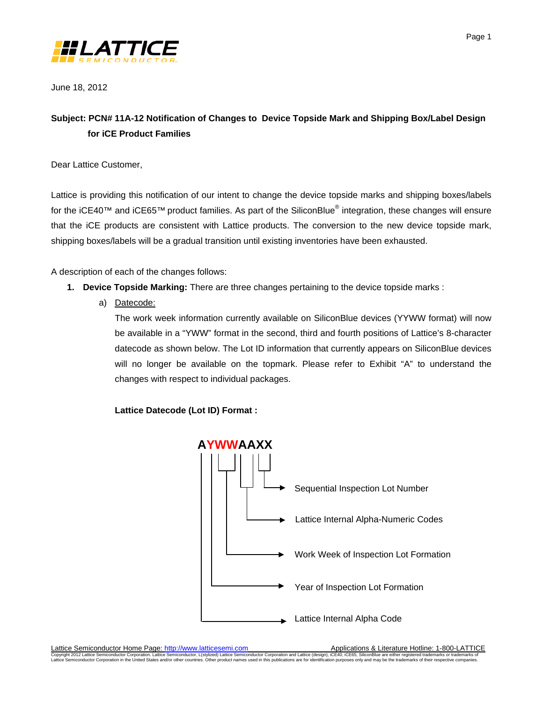

June 18, 2012

# **Subject: PCN# 11A-12 Notification of Changes to Device Topside Mark and Shipping Box/Label Design for iCE Product Families**

Dear Lattice Customer,

Lattice is providing this notification of our intent to change the device topside marks and shipping boxes/labels for the iCE40™ and iCE65™ product families. As part of the SiliconBlue® integration, these changes will ensure that the iCE products are consistent with Lattice products. The conversion to the new device topside mark, shipping boxes/labels will be a gradual transition until existing inventories have been exhausted.

A description of each of the changes follows:

- **1. Device Topside Marking:** There are three changes pertaining to the device topside marks :
	- a) Datecode:

The work week information currently available on SiliconBlue devices (YYWW format) will now be available in a "YWW" format in the second, third and fourth positions of Lattice's 8-character datecode as shown below. The Lot ID information that currently appears on SiliconBlue devices will no longer be available on the topmark. Please refer to Exhibit "A" to understand the changes with respect to individual packages.

**Lattice Datecode (Lot ID) Format :**



Lattice Semiconductor Home Page[: http://www.latticesemi.com](http://www.latticesemi.com/) Applications & Literature Hotline: 1-800-LATTICE

Copyright 2012 Lattice Semiconductor Corporation. Lattice Semiconductor, L(stylized) Lattice Semiconductor Corporation and Lattice (design), iCE40, iCE65, SiliconBlue are either registered trademarks or trademarks or their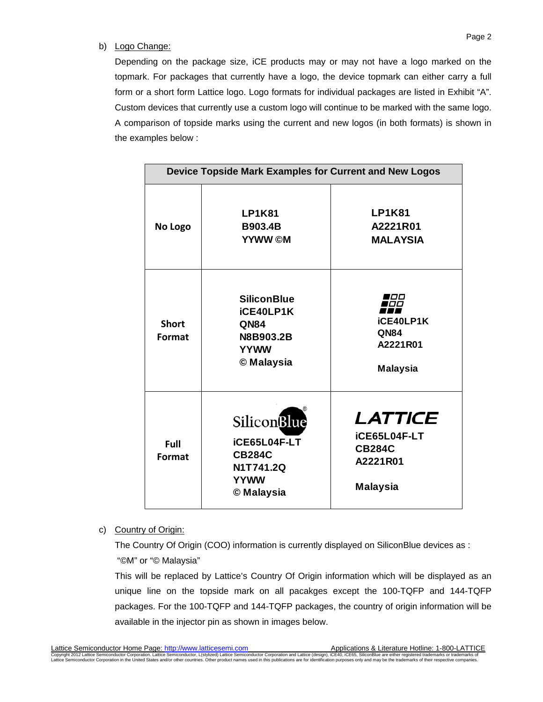### b) Logo Change:

Depending on the package size, iCE products may or may not have a logo marked on the topmark. For packages that currently have a logo, the device topmark can either carry a full form or a short form Lattice logo. Logo formats for individual packages are listed in Exhibit "A". Custom devices that currently use a custom logo will continue to be marked with the same logo. A comparison of topside marks using the current and new logos (in both formats) is shown in the examples below :

| Device Topside Mark Examples for Current and New Logos |                                                                                                |                                                                                |
|--------------------------------------------------------|------------------------------------------------------------------------------------------------|--------------------------------------------------------------------------------|
| No Logo                                                | <b>LP1K81</b><br><b>B903.4B</b><br><b>YYWW</b> ©M                                              | <b>LP1K81</b><br>A2221R01<br><b>MALAYSIA</b>                                   |
| <b>Short</b><br>Format                                 | <b>SiliconBlue</b><br>iCE40LP1K<br><b>QN84</b><br>N8B903.2B<br><b>YYWW</b><br>© Malaysia       | סטו<br>iCE40LP1K<br><b>QN84</b><br>A2221R01<br><b>Malaysia</b>                 |
| Full<br>Format                                         | <b>Silicon</b> Blue<br>iCE65L04F-LT<br><b>CB284C</b><br>N1T741.2Q<br><b>YYWW</b><br>© Malaysia | LATTICE<br><b>iCE65L04F-LT</b><br><b>CB284C</b><br>A2221R01<br><b>Malaysia</b> |

c) Country of Origin:

The Country Of Origin (COO) information is currently displayed on SiliconBlue devices as : "©M" or "© Malaysia"

This will be replaced by Lattice's Country Of Origin information which will be displayed as an unique line on the topside mark on all pacakges except the 100-TQFP and 144-TQFP packages. For the 100-TQFP and 144-TQFP packages, the country of origin information will be available in the injector pin as shown in images below.

<u>Lattice Semiconductor Home Page: http://www.latticesemi.com</u><br>Copyright 2012 Lattice Semiconductor Corporation. Lattice Semiconductor Interview Semiconductor Corporation and Lattice (design), iCE40, iCE65, SiliconBlue are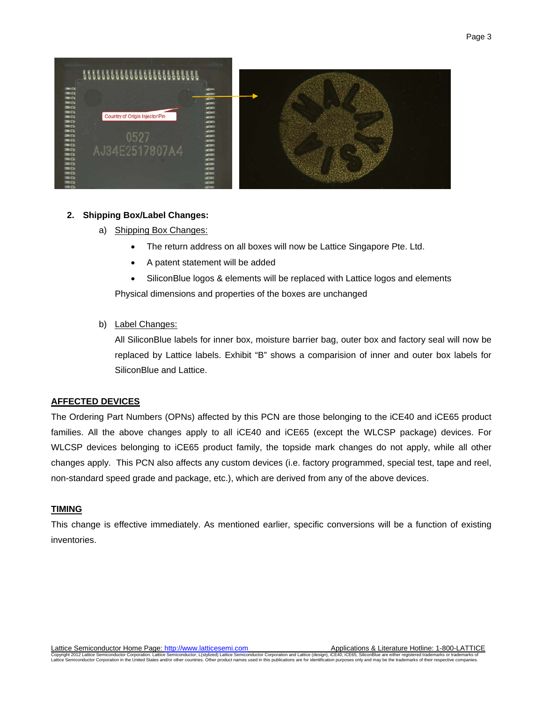

#### **2. Shipping Box/Label Changes:**

- a) Shipping Box Changes:
	- The return address on all boxes will now be Lattice Singapore Pte. Ltd.
	- A patent statement will be added
	- SiliconBlue logos & elements will be replaced with Lattice logos and elements

Physical dimensions and properties of the boxes are unchanged

#### b) Label Changes:

All SiliconBlue labels for inner box, moisture barrier bag, outer box and factory seal will now be replaced by Lattice labels. Exhibit "B" shows a comparision of inner and outer box labels for SiliconBlue and Lattice.

### **AFFECTED DEVICES**

The Ordering Part Numbers (OPNs) affected by this PCN are those belonging to the iCE40 and iCE65 product families. All the above changes apply to all iCE40 and iCE65 (except the WLCSP package) devices. For WLCSP devices belonging to iCE65 product family, the topside mark changes do not apply, while all other changes apply. This PCN also affects any custom devices (i.e. factory programmed, special test, tape and reel, non-standard speed grade and package, etc.), which are derived from any of the above devices.

#### **TIMING**

This change is effective immediately. As mentioned earlier, specific conversions will be a function of existing inventories.

<u>Lattice Semiconductor Home Page: http://www.latticesemi.com</u><br>Copyright 2012 Lattice Semiconductor Corporation. Lattice Semiconductor Interview Semiconductor Corporation and Lattice (design), iCE40, iCE65, SiliconBlue are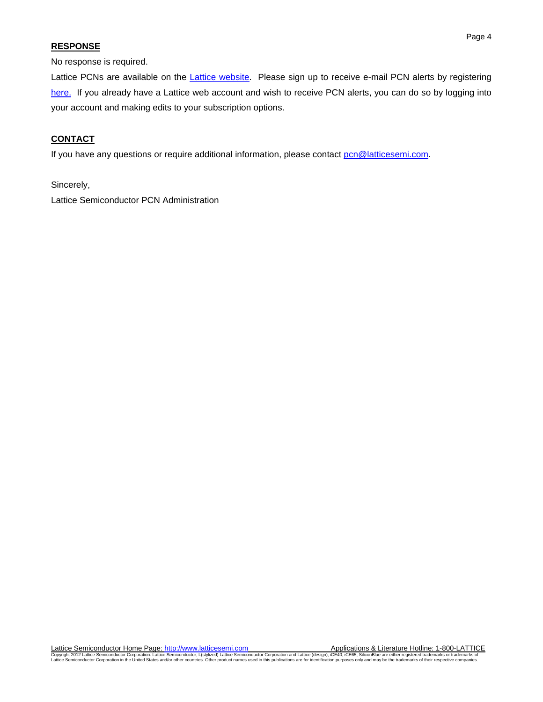### **RESPONSE**

No response is required.

Lattice PCNs are available on the *Lattice website*. Please sign up to receive e-mail PCN alerts by registering [here.](https://www.latticesemi.com/account/login.cfm) If you already have a Lattice web account and wish to receive PCN alerts, you can do so by logging into your account and making edits to your subscription options.

## **CONTACT**

If you have any questions or require additional information, please contact pcn@latticesemi.com.

Sincerely,

Lattice Semiconductor PCN Administration

<u>Lattice Semiconductor Home Page: http://www.latticesemi.com</u><br>Copyright 2012 Lattice Semiconductor Corporation. Lattice Semiconductor Interview Semiconductor Corporation and Lattice (design), iCE40, iCE65, SiliconBlue are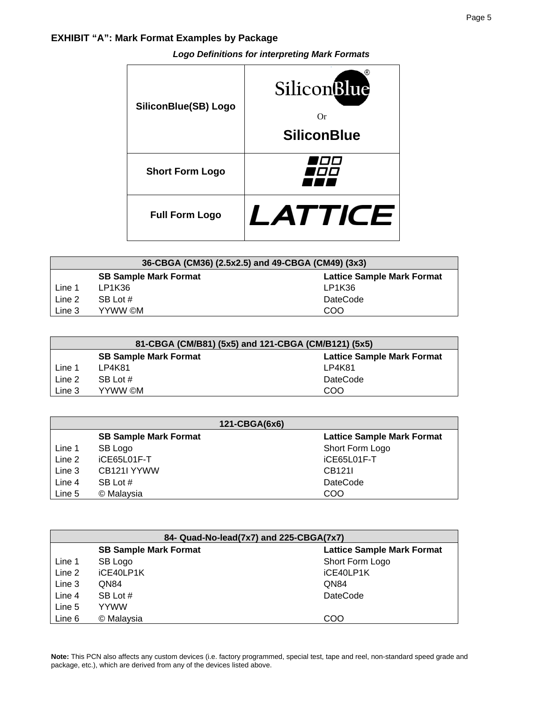## **EXHIBIT "A": Mark Format Examples by Package**

| SiliconBlue(SB) Logo   | SiliconBlue<br>Or<br><b>SiliconBlue</b> |
|------------------------|-----------------------------------------|
| <b>Short Form Logo</b> |                                         |
| <b>Full Form Logo</b>  | LATTICI<br>F                            |

| 36-CBGA (CM36) (2.5x2.5) and 49-CBGA (CM49) (3x3)                 |          |                 |
|-------------------------------------------------------------------|----------|-----------------|
| <b>Lattice Sample Mark Format</b><br><b>SB Sample Mark Format</b> |          |                 |
| Line 1                                                            | LP1K36   | LP1K36          |
| Line 2                                                            | SB Lot # | <b>DateCode</b> |
| Line 3                                                            | YYWW ©M  | COO             |

| 81-CBGA (CM/B81) (5x5) and 121-CBGA (CM/B121) (5x5)               |          |                 |
|-------------------------------------------------------------------|----------|-----------------|
| <b>Lattice Sample Mark Format</b><br><b>SB Sample Mark Format</b> |          |                 |
| Line 1                                                            | LP4K81   | LP4K81          |
| Line 2                                                            | SB Lot # | <b>DateCode</b> |
| Line 3                                                            | YYWW ©M  | COO             |

| 121-CBGA(6x6) |                              |                                   |
|---------------|------------------------------|-----------------------------------|
|               | <b>SB Sample Mark Format</b> | <b>Lattice Sample Mark Format</b> |
| Line 1        | SB Logo                      | Short Form Logo                   |
| Line 2        | iCE65L01F-T                  | iCE65L01F-T                       |
| Line 3        | CB <sub>121</sub> YYWW       | CB1211                            |
| Line 4        | SB Lot #                     | <b>DateCode</b>                   |
| Line 5        | © Malaysia                   | COO                               |

| 84- Quad-No-lead(7x7) and 225-CBGA(7x7) |                              |                                   |
|-----------------------------------------|------------------------------|-----------------------------------|
|                                         | <b>SB Sample Mark Format</b> | <b>Lattice Sample Mark Format</b> |
| Line 1                                  | SB Logo                      | Short Form Logo                   |
| Line 2                                  | iCE40LP1K                    | iCE40LP1K                         |
| Line 3                                  | QN84                         | QN84                              |
| Line 4                                  | SB Lot #                     | <b>DateCode</b>                   |
| Line 5                                  | <b>YYWW</b>                  |                                   |
| Line 6                                  | © Malaysia                   | COO                               |

**Note:** This PCN also affects any custom devices (i.e. factory programmed, special test, tape and reel, non-standard speed grade and package, etc.), which are derived from any of the devices listed above.

# *Logo Definitions for interpreting Mark Formats*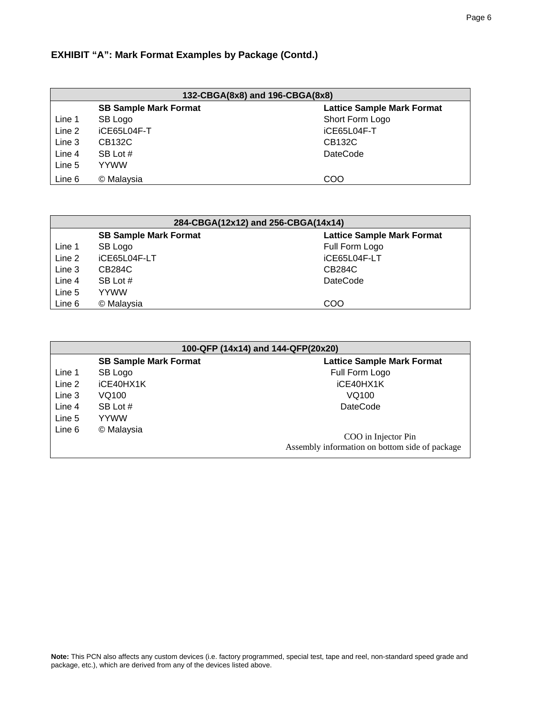## **EXHIBIT "A": Mark Format Examples by Package (Contd.)**

| 132-CBGA(8x8) and 196-CBGA(8x8)                                   |             |                 |
|-------------------------------------------------------------------|-------------|-----------------|
| <b>SB Sample Mark Format</b><br><b>Lattice Sample Mark Format</b> |             |                 |
| Line 1                                                            | SB Logo     | Short Form Logo |
| Line 2                                                            | iCE65L04F-T | iCE65L04F-T     |
| Line 3                                                            | CB132C      | CB132C          |
| Line 4                                                            | SB Lot #    | <b>DateCode</b> |
| Line 5                                                            | <b>YYWW</b> |                 |
| Line 6                                                            | © Malaysia  | COO             |

| 284-CBGA(12x12) and 256-CBGA(14x14)                               |              |                 |
|-------------------------------------------------------------------|--------------|-----------------|
| <b>Lattice Sample Mark Format</b><br><b>SB Sample Mark Format</b> |              |                 |
| Line 1                                                            | SB Logo      | Full Form Logo  |
| Line 2                                                            | iCE65L04F-LT | iCE65L04F-LT    |
| Line 3                                                            | CB284C       | <b>CB284C</b>   |
| Line 4                                                            | SB Lot #     | <b>DateCode</b> |
| Line 5                                                            | <b>YYWW</b>  |                 |
| Line 6                                                            | © Malaysia   | COO             |

| 100-QFP (14x14) and 144-QFP(20x20) |                              |                                                                       |
|------------------------------------|------------------------------|-----------------------------------------------------------------------|
|                                    | <b>SB Sample Mark Format</b> | <b>Lattice Sample Mark Format</b>                                     |
| Line 1                             | SB Logo                      | Full Form Logo                                                        |
| Line 2                             | iCE40HX1K                    | iCE40HX1K                                                             |
| Line 3                             | VQ100                        | VQ100                                                                 |
| Line 4                             | SB Lot #                     | <b>DateCode</b>                                                       |
| Line 5                             | <b>YYWW</b>                  |                                                                       |
| Line 6                             | © Malaysia                   | COO in Injector Pin<br>Assembly information on bottom side of package |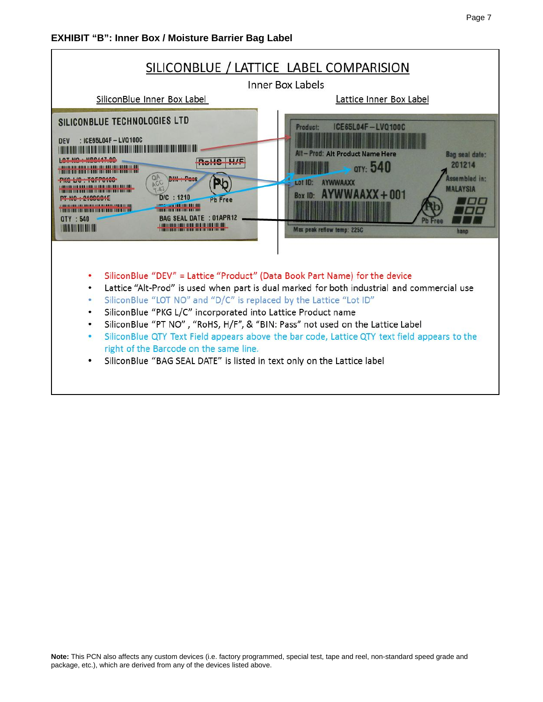